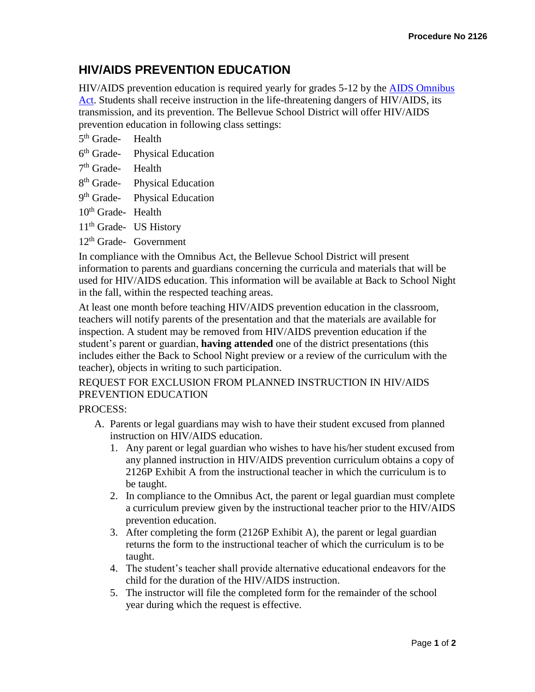## **HIV/AIDS PREVENTION EDUCATION**

HIV/AIDS prevention education is required yearly for grades 5-12 by the [AIDS Omnibus](http://apps.leg.wa.gov/rcw/default.aspx?cite=28A.230.070)  [Act.](http://apps.leg.wa.gov/rcw/default.aspx?cite=28A.230.070) Students shall receive instruction in the life-threatening dangers of HIV/AIDS, its transmission, and its prevention. The Bellevue School District will offer HIV/AIDS prevention education in following class settings:

5<sup>th</sup> Grade- Health

- $6<sup>th</sup>$  Grade-Physical Education
- 7<sup>th</sup> Grade- Health
- 8<sup>th</sup> Grade- Physical Education
- 9<sup>th</sup> Grade- Physical Education
- 10<sup>th</sup> Grade- Health
- 11<sup>th</sup> Grade- US History
- 12th Grade- Government

In compliance with the Omnibus Act, the Bellevue School District will present information to parents and guardians concerning the curricula and materials that will be used for HIV/AIDS education. This information will be available at Back to School Night in the fall, within the respected teaching areas.

At least one month before teaching HIV/AIDS prevention education in the classroom, teachers will notify parents of the presentation and that the materials are available for inspection. A student may be removed from HIV/AIDS prevention education if the student's parent or guardian, **having attended** one of the district presentations (this includes either the Back to School Night preview or a review of the curriculum with the teacher), objects in writing to such participation.

## REQUEST FOR EXCLUSION FROM PLANNED INSTRUCTION IN HIV/AIDS PREVENTION EDUCATION

## PROCESS:

- A. Parents or legal guardians may wish to have their student excused from planned instruction on HIV/AIDS education.
	- 1. Any parent or legal guardian who wishes to have his/her student excused from any planned instruction in HIV/AIDS prevention curriculum obtains a copy of 2126P Exhibit A from the instructional teacher in which the curriculum is to be taught.
	- 2. In compliance to the Omnibus Act, the parent or legal guardian must complete a curriculum preview given by the instructional teacher prior to the HIV/AIDS prevention education.
	- 3. After completing the form (2126P Exhibit A), the parent or legal guardian returns the form to the instructional teacher of which the curriculum is to be taught.
	- 4. The student's teacher shall provide alternative educational endeavors for the child for the duration of the HIV/AIDS instruction.
	- 5. The instructor will file the completed form for the remainder of the school year during which the request is effective.